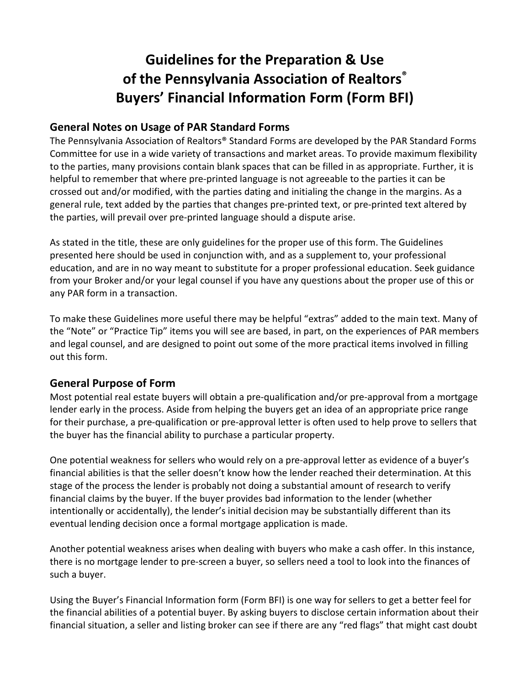# **Guidelines for the Preparation & Use of the Pennsylvania Association of Realtors® Buyers' Financial Information Form (Form BFI)**

#### **General Notes on Usage of PAR Standard Forms**

The Pennsylvania Association of Realtors® Standard Forms are developed by the PAR Standard Forms Committee for use in a wide variety of transactions and market areas. To provide maximum flexibility to the parties, many provisions contain blank spaces that can be filled in as appropriate. Further, it is helpful to remember that where pre-printed language is not agreeable to the parties it can be crossed out and/or modified, with the parties dating and initialing the change in the margins. As a general rule, text added by the parties that changes pre-printed text, or pre-printed text altered by the parties, will prevail over pre-printed language should a dispute arise.

As stated in the title, these are only guidelines for the proper use of this form. The Guidelines presented here should be used in conjunction with, and as a supplement to, your professional education, and are in no way meant to substitute for a proper professional education. Seek guidance from your Broker and/or your legal counsel if you have any questions about the proper use of this or any PAR form in a transaction.

To make these Guidelines more useful there may be helpful "extras" added to the main text. Many of the "Note" or "Practice Tip" items you will see are based, in part, on the experiences of PAR members and legal counsel, and are designed to point out some of the more practical items involved in filling out this form.

#### **General Purpose of Form**

Most potential real estate buyers will obtain a pre-qualification and/or pre-approval from a mortgage lender early in the process. Aside from helping the buyers get an idea of an appropriate price range for their purchase, a pre-qualification or pre-approval letter is often used to help prove to sellers that the buyer has the financial ability to purchase a particular property.

One potential weakness for sellers who would rely on a pre-approval letter as evidence of a buyer's financial abilities is that the seller doesn't know how the lender reached their determination. At this stage of the process the lender is probably not doing a substantial amount of research to verify financial claims by the buyer. If the buyer provides bad information to the lender (whether intentionally or accidentally), the lender's initial decision may be substantially different than its eventual lending decision once a formal mortgage application is made.

Another potential weakness arises when dealing with buyers who make a cash offer. In this instance, there is no mortgage lender to pre-screen a buyer, so sellers need a tool to look into the finances of such a buyer.

Using the Buyer's Financial Information form (Form BFI) is one way for sellers to get a better feel for the financial abilities of a potential buyer. By asking buyers to disclose certain information about their financial situation, a seller and listing broker can see if there are any "red flags" that might cast doubt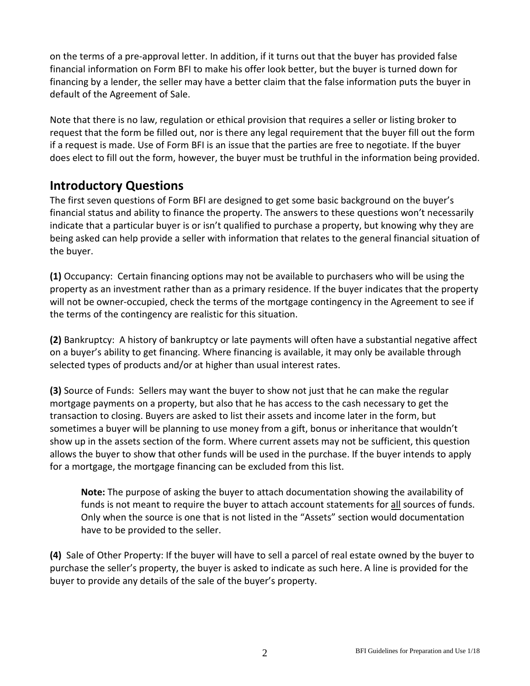on the terms of a pre-approval letter. In addition, if it turns out that the buyer has provided false financial information on Form BFI to make his offer look better, but the buyer is turned down for financing by a lender, the seller may have a better claim that the false information puts the buyer in default of the Agreement of Sale.

Note that there is no law, regulation or ethical provision that requires a seller or listing broker to request that the form be filled out, nor is there any legal requirement that the buyer fill out the form if a request is made. Use of Form BFI is an issue that the parties are free to negotiate. If the buyer does elect to fill out the form, however, the buyer must be truthful in the information being provided.

## **Introductory Questions**

The first seven questions of Form BFI are designed to get some basic background on the buyer's financial status and ability to finance the property. The answers to these questions won't necessarily indicate that a particular buyer is or isn't qualified to purchase a property, but knowing why they are being asked can help provide a seller with information that relates to the general financial situation of the buyer.

**(1)** Occupancy: Certain financing options may not be available to purchasers who will be using the property as an investment rather than as a primary residence. If the buyer indicates that the property will not be owner-occupied, check the terms of the mortgage contingency in the Agreement to see if the terms of the contingency are realistic for this situation.

**(2)** Bankruptcy: A history of bankruptcy or late payments will often have a substantial negative affect on a buyer's ability to get financing. Where financing is available, it may only be available through selected types of products and/or at higher than usual interest rates.

**(3)** Source of Funds: Sellers may want the buyer to show not just that he can make the regular mortgage payments on a property, but also that he has access to the cash necessary to get the transaction to closing. Buyers are asked to list their assets and income later in the form, but sometimes a buyer will be planning to use money from a gift, bonus or inheritance that wouldn't show up in the assets section of the form. Where current assets may not be sufficient, this question allows the buyer to show that other funds will be used in the purchase. If the buyer intends to apply for a mortgage, the mortgage financing can be excluded from this list.

**Note:** The purpose of asking the buyer to attach documentation showing the availability of funds is not meant to require the buyer to attach account statements for all sources of funds. Only when the source is one that is not listed in the "Assets" section would documentation have to be provided to the seller.

**(4)** Sale of Other Property: If the buyer will have to sell a parcel of real estate owned by the buyer to purchase the seller's property, the buyer is asked to indicate as such here. A line is provided for the buyer to provide any details of the sale of the buyer's property.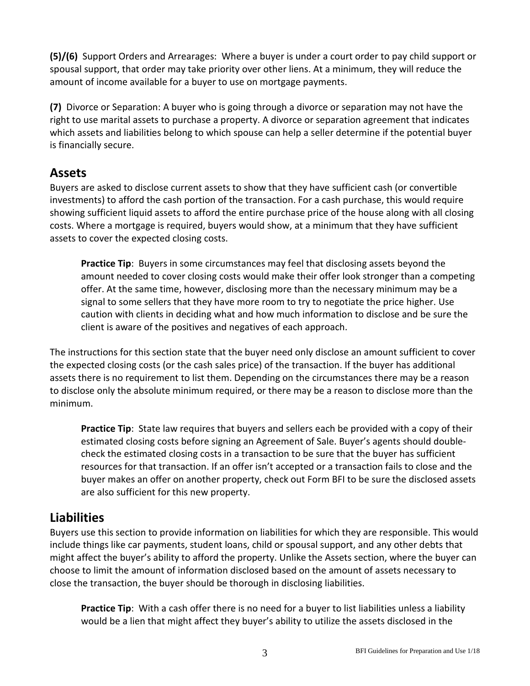**(5)/(6)** Support Orders and Arrearages: Where a buyer is under a court order to pay child support or spousal support, that order may take priority over other liens. At a minimum, they will reduce the amount of income available for a buyer to use on mortgage payments.

**(7)** Divorce or Separation: A buyer who is going through a divorce or separation may not have the right to use marital assets to purchase a property. A divorce or separation agreement that indicates which assets and liabilities belong to which spouse can help a seller determine if the potential buyer is financially secure.

#### **Assets**

Buyers are asked to disclose current assets to show that they have sufficient cash (or convertible investments) to afford the cash portion of the transaction. For a cash purchase, this would require showing sufficient liquid assets to afford the entire purchase price of the house along with all closing costs. Where a mortgage is required, buyers would show, at a minimum that they have sufficient assets to cover the expected closing costs.

**Practice Tip**: Buyers in some circumstances may feel that disclosing assets beyond the amount needed to cover closing costs would make their offer look stronger than a competing offer. At the same time, however, disclosing more than the necessary minimum may be a signal to some sellers that they have more room to try to negotiate the price higher. Use caution with clients in deciding what and how much information to disclose and be sure the client is aware of the positives and negatives of each approach.

The instructions for this section state that the buyer need only disclose an amount sufficient to cover the expected closing costs (or the cash sales price) of the transaction. If the buyer has additional assets there is no requirement to list them. Depending on the circumstances there may be a reason to disclose only the absolute minimum required, or there may be a reason to disclose more than the minimum.

**Practice Tip**: State law requires that buyers and sellers each be provided with a copy of their estimated closing costs before signing an Agreement of Sale. Buyer's agents should doublecheck the estimated closing costs in a transaction to be sure that the buyer has sufficient resources for that transaction. If an offer isn't accepted or a transaction fails to close and the buyer makes an offer on another property, check out Form BFI to be sure the disclosed assets are also sufficient for this new property.

#### **Liabilities**

Buyers use this section to provide information on liabilities for which they are responsible. This would include things like car payments, student loans, child or spousal support, and any other debts that might affect the buyer's ability to afford the property. Unlike the Assets section, where the buyer can choose to limit the amount of information disclosed based on the amount of assets necessary to close the transaction, the buyer should be thorough in disclosing liabilities.

**Practice Tip**: With a cash offer there is no need for a buyer to list liabilities unless a liability would be a lien that might affect they buyer's ability to utilize the assets disclosed in the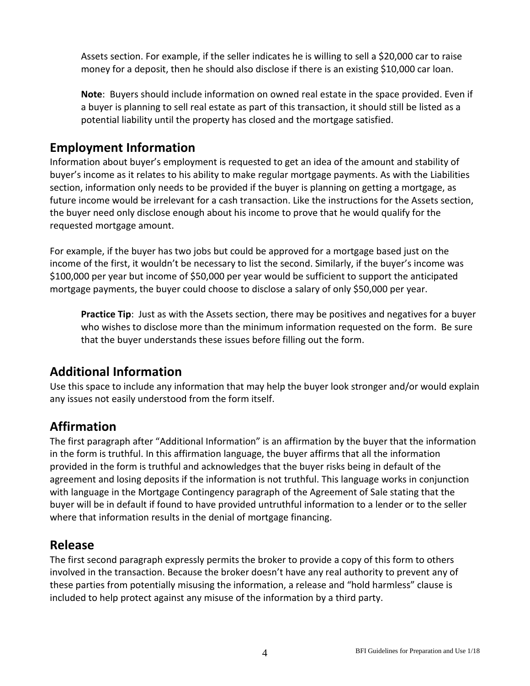Assets section. For example, if the seller indicates he is willing to sell a \$20,000 car to raise money for a deposit, then he should also disclose if there is an existing \$10,000 car loan.

**Note**: Buyers should include information on owned real estate in the space provided. Even if a buyer is planning to sell real estate as part of this transaction, it should still be listed as a potential liability until the property has closed and the mortgage satisfied.

### **Employment Information**

Information about buyer's employment is requested to get an idea of the amount and stability of buyer's income as it relates to his ability to make regular mortgage payments. As with the Liabilities section, information only needs to be provided if the buyer is planning on getting a mortgage, as future income would be irrelevant for a cash transaction. Like the instructions for the Assets section, the buyer need only disclose enough about his income to prove that he would qualify for the requested mortgage amount.

For example, if the buyer has two jobs but could be approved for a mortgage based just on the income of the first, it wouldn't be necessary to list the second. Similarly, if the buyer's income was \$100,000 per year but income of \$50,000 per year would be sufficient to support the anticipated mortgage payments, the buyer could choose to disclose a salary of only \$50,000 per year.

**Practice Tip**: Just as with the Assets section, there may be positives and negatives for a buyer who wishes to disclose more than the minimum information requested on the form. Be sure that the buyer understands these issues before filling out the form.

#### **Additional Information**

Use this space to include any information that may help the buyer look stronger and/or would explain any issues not easily understood from the form itself.

## **Affirmation**

The first paragraph after "Additional Information" is an affirmation by the buyer that the information in the form is truthful. In this affirmation language, the buyer affirms that all the information provided in the form is truthful and acknowledges that the buyer risks being in default of the agreement and losing deposits if the information is not truthful. This language works in conjunction with language in the Mortgage Contingency paragraph of the Agreement of Sale stating that the buyer will be in default if found to have provided untruthful information to a lender or to the seller where that information results in the denial of mortgage financing.

#### **Release**

The first second paragraph expressly permits the broker to provide a copy of this form to others involved in the transaction. Because the broker doesn't have any real authority to prevent any of these parties from potentially misusing the information, a release and "hold harmless" clause is included to help protect against any misuse of the information by a third party.